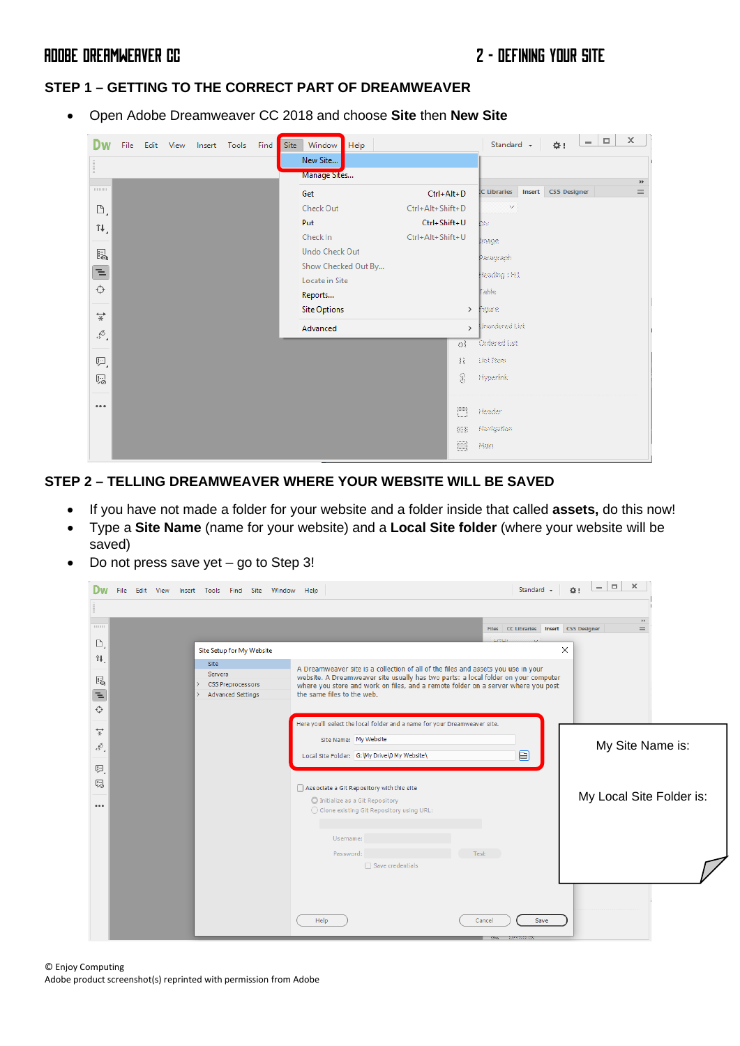# ADOBE DREAMWEAVER CC 2 - DEFINING YOUR SITE

### **STEP 1 – GETTING TO THE CORRECT PART OF DREAMWEAVER**

• Open Adobe Dreamweaver CC 2018 and choose **Site** then **New Site**

| Dw                   | File |  | Edit View Insert Tools | Find | Site | Window<br>Help        |                  |                | Standard +          | $\alpha$ :          | $\sim$ | $\Box$ | $\times$                                 |  |
|----------------------|------|--|------------------------|------|------|-----------------------|------------------|----------------|---------------------|---------------------|--------|--------|------------------------------------------|--|
|                      |      |  |                        |      |      | New Site              |                  |                |                     |                     |        |        |                                          |  |
| Ë.                   |      |  |                        |      |      | Manage Sites          |                  |                |                     |                     |        |        | $\blacktriangleright\blacktriangleright$ |  |
| 1111111111           |      |  |                        |      |      | Get                   | Ctrl+Alt+D       |                | IC Libraries Insert | <b>CSS Designer</b> |        |        | $\equiv$                                 |  |
| D,                   |      |  |                        |      |      | Check Out             | Ctrl+Alt+Shift+D |                | $\checkmark$        |                     |        |        |                                          |  |
| î↓,                  |      |  |                        |      |      | Put                   | Ctrl+Shift+U     |                | Dav.                |                     |        |        |                                          |  |
|                      |      |  |                        |      |      | Check In              | Ctrl+Alt+Shift+U |                | lmage.              |                     |        |        |                                          |  |
| $E_{\mathbf{Q}}$     |      |  |                        |      |      | <b>Undo Check Out</b> |                  |                | Paragraph           |                     |        |        |                                          |  |
| 董                    |      |  |                        |      |      | Show Checked Out By   |                  |                | Heading : H1        |                     |        |        |                                          |  |
| ↔                    |      |  |                        |      |      | Locate in Site        |                  |                | <b>Cable:</b>       |                     |        |        |                                          |  |
|                      |      |  |                        |      |      | Reports               |                  |                |                     |                     |        |        |                                          |  |
| $\overrightarrow{x}$ |      |  |                        |      |      | <b>Site Options</b>   |                  | $\rightarrow$  | Figure              |                     |        |        |                                          |  |
| E.                   |      |  |                        |      |      | Advanced              |                  | $\mathbf{r}$   | Unordered List      |                     |        |        |                                          |  |
|                      |      |  |                        |      |      |                       |                  | ः              | Ordered tist.       |                     |        |        |                                          |  |
| Đ,                   |      |  |                        |      |      |                       |                  | $\sum_{i=1}^N$ | List Tiess          |                     |        |        |                                          |  |
| ₽.                   |      |  |                        |      |      |                       |                  | S              | Hyperlink           |                     |        |        |                                          |  |
|                      |      |  |                        |      |      |                       |                  |                |                     |                     |        |        |                                          |  |
| 0.0.0                |      |  |                        |      |      |                       |                  | m              | Header              |                     |        |        |                                          |  |
|                      |      |  |                        |      |      |                       |                  | <b>REG</b>     | Navigation          |                     |        |        |                                          |  |
|                      |      |  |                        |      |      |                       |                  | E              | Main                |                     |        |        |                                          |  |
|                      |      |  |                        |      |      |                       |                  |                |                     |                     |        |        |                                          |  |

### **STEP 2 – TELLING DREAMWEAVER WHERE YOUR WEBSITE WILL BE SAVED**

- If you have not made a folder for your website and a folder inside that called **assets,** do this now!
- Type a **Site Name** (name for your website) and a **Local Site folder** (where your website will be saved)
- Do not press save yet go to Step 3!

| 00000                                                                                     |                                                                                                                                               |                                                                                                                                                                                                                                                                                                                                                                                                                                                    | $\rightarrow$<br>Files CC Libraries Insert CSS Designer<br>$\equiv$ |
|-------------------------------------------------------------------------------------------|-----------------------------------------------------------------------------------------------------------------------------------------------|----------------------------------------------------------------------------------------------------------------------------------------------------------------------------------------------------------------------------------------------------------------------------------------------------------------------------------------------------------------------------------------------------------------------------------------------------|---------------------------------------------------------------------|
| $\Box$<br>î↓.<br>$\mathbb{F}_{\mathbb{Q}}$<br>E<br>♦<br>$\overleftrightarrow{\ast}$<br>E. | Site Setup for My Website<br>Site<br><b>Servers</b><br><b>CSS Preprocessors</b><br>$\rightarrow$<br><b>Advanced Settings</b><br>$\rightarrow$ | A Dreamweaver site is a collection of all of the files and assets you use in your<br>website. A Dreamweaver site usually has two parts: a local folder on your computer<br>where you store and work on files, and a remote folder on a server where you post<br>the same files to the web.<br>Here you'll select the local folder and a name for your Dreamweaver site.<br>Site Name: My Website<br>Local Site Folder: G: Wy Drive \0 My Website \ | X<br>My Site Name is:<br>⊟                                          |
| 吧<br>赐<br>0.0.0                                                                           |                                                                                                                                               | Associate a Git Repository with this site<br>O Initialize as a Git Repository<br>◯ Clone existing Git Repository using URL:<br>Username:                                                                                                                                                                                                                                                                                                           | My Local Site Folder is:                                            |
|                                                                                           |                                                                                                                                               | Password:<br>Test<br>Save credentials<br>Help<br>Cancel                                                                                                                                                                                                                                                                                                                                                                                            | Save                                                                |

© Enjoy Computing Adobe product screenshot(s) reprinted with permission from Adobe